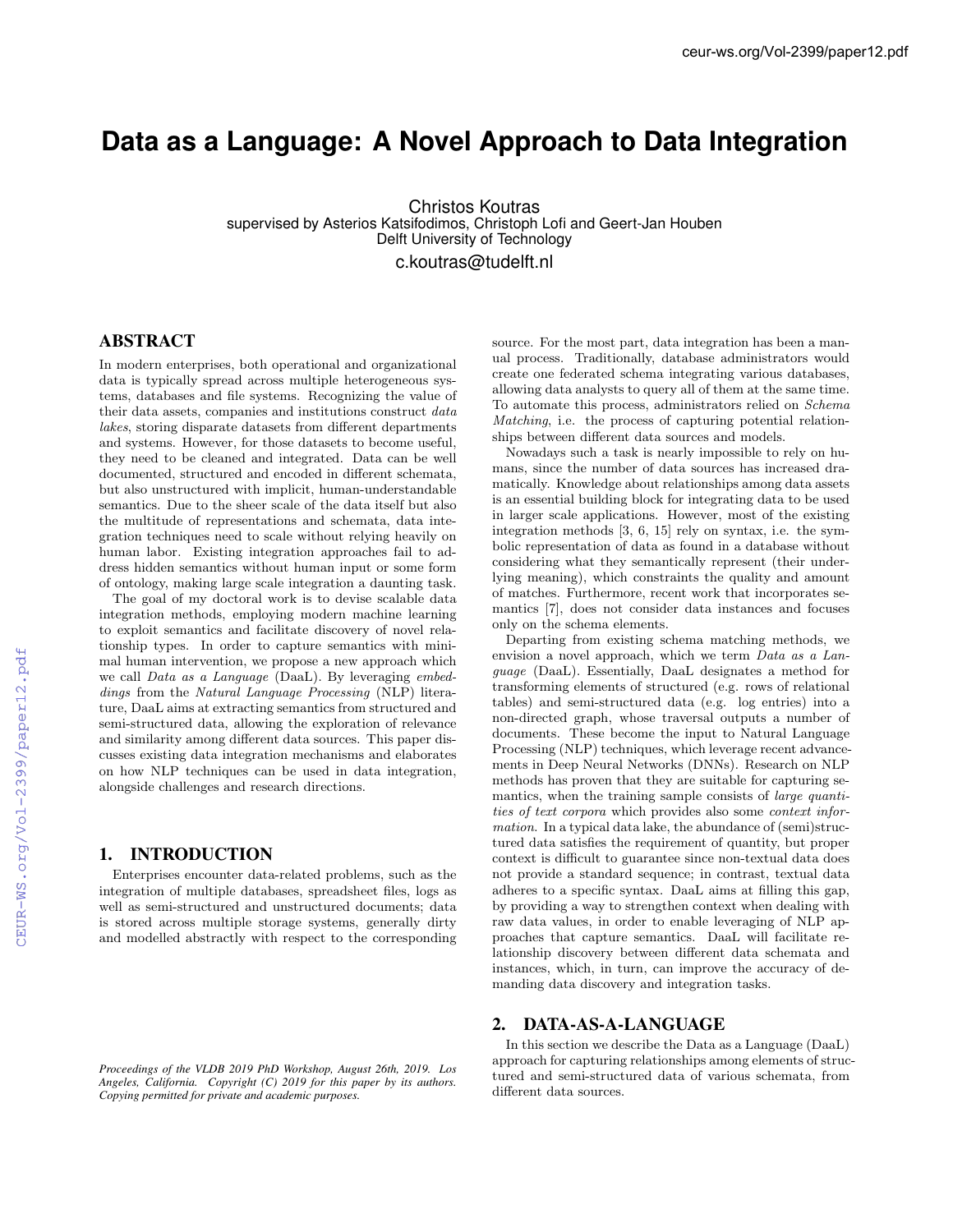# **Data as a Language: A Novel Approach to Data Integration**

Christos Koutras supervised by Asterios Katsifodimos, Christoph Lofi and Geert-Jan Houben Delft University of Technology c.koutras@tudelft.nl

## ABSTRACT

In modern enterprises, both operational and organizational data is typically spread across multiple heterogeneous systems, databases and file systems. Recognizing the value of their data assets, companies and institutions construct *data lakes*, storing disparate datasets from different departments and systems. However, for those datasets to become useful, they need to be cleaned and integrated. Data can be well documented, structured and encoded in different schemata, but also unstructured with implicit, human-understandable semantics. Due to the sheer scale of the data itself but also the multitude of representations and schemata, data integration techniques need to scale without relying heavily on human labor. Existing integration approaches fail to address hidden semantics without human input or some form of ontology, making large scale integration a daunting task.

The goal of my doctoral work is to devise scalable data integration methods, employing modern machine learning to exploit semantics and facilitate discovery of novel relationship types. In order to capture semantics with minimal human intervention, we propose a new approach which we call *Data as a Language* (DaaL). By leveraging *embeddings* from the *Natural Language Processing* (NLP) literature, DaaL aims at extracting semantics from structured and semi-structured data, allowing the exploration of relevance and similarity among different data sources. This paper discusses existing data integration mechanisms and elaborates on how NLP techniques can be used in data integration, alongside challenges and research directions.

## 1. INTRODUCTION

Enterprises encounter data-related problems, such as the integration of multiple databases, spreadsheet files, logs as well as semi-structured and unstructured documents; data is stored across multiple storage systems, generally dirty and modelled abstractly with respect to the corresponding

*Proceedings of the VLDB 2019 PhD Workshop, August 26th, 2019. Los Angeles, California. Copyright (C) 2019 for this paper by its authors. Copying permitted for private and academic purposes.*

source. For the most part, data integration has been a manual process. Traditionally, database administrators would create one federated schema integrating various databases, allowing data analysts to query all of them at the same time. To automate this process, administrators relied on *Schema Matching*, i.e. the process of capturing potential relationships between different data sources and models.

Nowadays such a task is nearly impossible to rely on humans, since the number of data sources has increased dramatically. Knowledge about relationships among data assets is an essential building block for integrating data to be used in larger scale applications. However, most of the existing integration methods [3, 6, 15] rely on syntax, i.e. the symbolic representation of data as found in a database without considering what they semantically represent (their underlying meaning), which constraints the quality and amount of matches. Furthermore, recent work that incorporates semantics [7], does not consider data instances and focuses only on the schema elements.

Departing from existing schema matching methods, we envision a novel approach, which we term *Data as a Language* (DaaL). Essentially, DaaL designates a method for transforming elements of structured (e.g. rows of relational tables) and semi-structured data (e.g. log entries) into a non-directed graph, whose traversal outputs a number of documents. These become the input to Natural Language Processing (NLP) techniques, which leverage recent advancements in Deep Neural Networks (DNNs). Research on NLP methods has proven that they are suitable for capturing semantics, when the training sample consists of *large quantities of text corpora* which provides also some *context information*. In a typical data lake, the abundance of (semi)structured data satisfies the requirement of quantity, but proper context is difficult to guarantee since non-textual data does not provide a standard sequence; in contrast, textual data adheres to a specific syntax. DaaL aims at filling this gap, by providing a way to strengthen context when dealing with raw data values, in order to enable leveraging of NLP approaches that capture semantics. DaaL will facilitate relationship discovery between different data schemata and instances, which, in turn, can improve the accuracy of demanding data discovery and integration tasks.

## 2. DATA-AS-A-LANGUAGE

In this section we describe the Data as a Language (DaaL) approach for capturing relationships among elements of structured and semi-structured data of various schemata, from different data sources.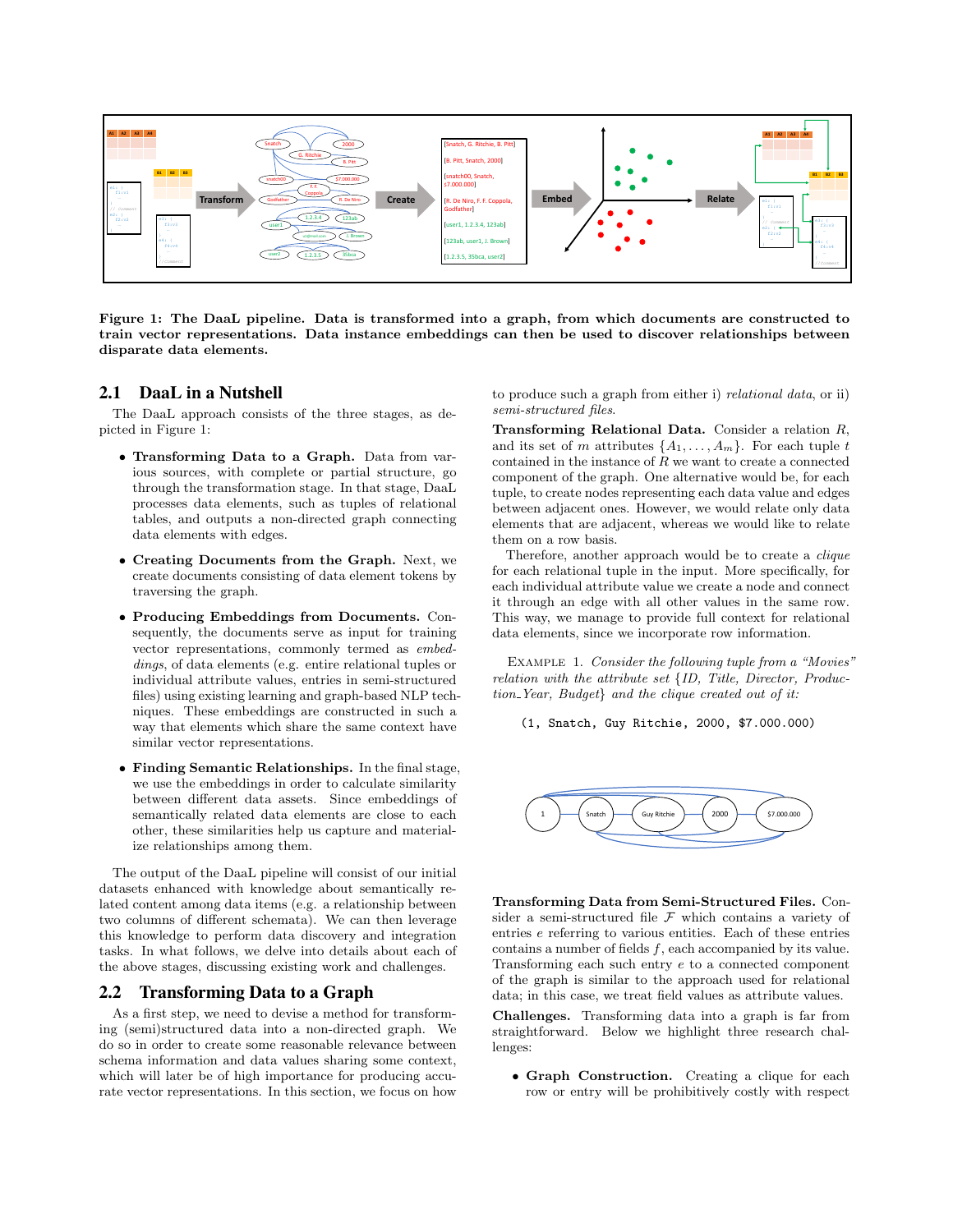

Figure 1: The DaaL pipeline. Data is transformed into a graph, from which documents are constructed to train vector representations. Data instance embeddings can then be used to discover relationships between disparate data elements.

## 2.1 DaaL in a Nutshell

The DaaL approach consists of the three stages, as depicted in Figure 1:

- *•* Transforming Data to a Graph. Data from various sources, with complete or partial structure, go through the transformation stage. In that stage, DaaL processes data elements, such as tuples of relational tables, and outputs a non-directed graph connecting data elements with edges.
- *•* Creating Documents from the Graph. Next, we create documents consisting of data element tokens by traversing the graph.
- *•* Producing Embeddings from Documents. Consequently, the documents serve as input for training vector representations, commonly termed as *embeddings*, of data elements (e.g. entire relational tuples or individual attribute values, entries in semi-structured files) using existing learning and graph-based NLP techniques. These embeddings are constructed in such a way that elements which share the same context have similar vector representations.
- *•* Finding Semantic Relationships. In the final stage, we use the embeddings in order to calculate similarity between different data assets. Since embeddings of semantically related data elements are close to each other, these similarities help us capture and materialize relationships among them.

The output of the DaaL pipeline will consist of our initial datasets enhanced with knowledge about semantically related content among data items (e.g. a relationship between two columns of different schemata). We can then leverage this knowledge to perform data discovery and integration tasks. In what follows, we delve into details about each of the above stages, discussing existing work and challenges.

## 2.2 Transforming Data to a Graph

As a first step, we need to devise a method for transforming (semi)structured data into a non-directed graph. We do so in order to create some reasonable relevance between schema information and data values sharing some context, which will later be of high importance for producing accurate vector representations. In this section, we focus on how

to produce such a graph from either i) *relational data*, or ii) *semi-structured files*.

Transforming Relational Data. Consider a relation *R*, and its set of *m* attributes  $\{A_1, \ldots, A_m\}$ . For each tuple *t* contained in the instance of  $R$  we want to create a connected component of the graph. One alternative would be, for each tuple, to create nodes representing each data value and edges between adjacent ones. However, we would relate only data elements that are adjacent, whereas we would like to relate them on a row basis.

Therefore, another approach would be to create a *clique* for each relational tuple in the input. More specifically, for each individual attribute value we create a node and connect it through an edge with all other values in the same row. This way, we manage to provide full context for relational data elements, since we incorporate row information.

Example 1. *Consider the following tuple from a "Movies" relation with the attribute set {ID, Title, Director, Production Year, Budget} and the clique created out of it:*

(1, Snatch, Guy Ritchie, 2000, \$7.000.000)



Transforming Data from Semi-Structured Files. Consider a semi-structured file *F* which contains a variety of entries *e* referring to various entities. Each of these entries contains a number of fields *f*, each accompanied by its value. Transforming each such entry *e* to a connected component of the graph is similar to the approach used for relational data; in this case, we treat field values as attribute values.

Challenges. Transforming data into a graph is far from straightforward. Below we highlight three research challenges:

• Graph Construction. Creating a clique for each row or entry will be prohibitively costly with respect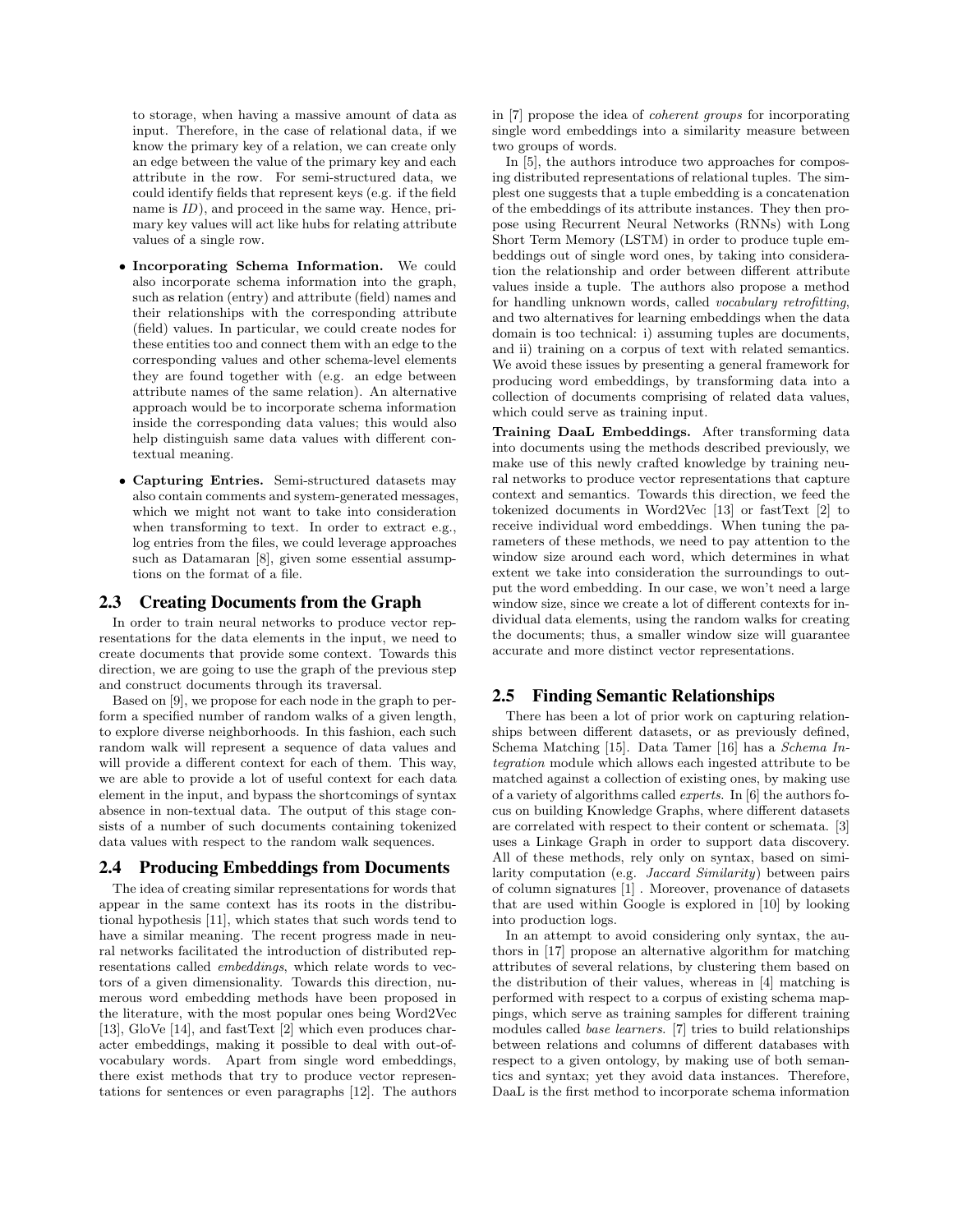to storage, when having a massive amount of data as input. Therefore, in the case of relational data, if we know the primary key of a relation, we can create only an edge between the value of the primary key and each attribute in the row. For semi-structured data, we could identify fields that represent keys (e.g. if the field name is  $ID$ ), and proceed in the same way. Hence, primary key values will act like hubs for relating attribute values of a single row.

- *•* Incorporating Schema Information. We could also incorporate schema information into the graph, such as relation (entry) and attribute (field) names and their relationships with the corresponding attribute (field) values. In particular, we could create nodes for these entities too and connect them with an edge to the corresponding values and other schema-level elements they are found together with (e.g. an edge between attribute names of the same relation). An alternative approach would be to incorporate schema information inside the corresponding data values; this would also help distinguish same data values with different contextual meaning.
- *•* Capturing Entries. Semi-structured datasets may also contain comments and system-generated messages, which we might not want to take into consideration when transforming to text. In order to extract e.g., log entries from the files, we could leverage approaches such as Datamaran [8], given some essential assumptions on the format of a file.

#### 2.3 Creating Documents from the Graph

In order to train neural networks to produce vector representations for the data elements in the input, we need to create documents that provide some context. Towards this direction, we are going to use the graph of the previous step and construct documents through its traversal.

Based on [9], we propose for each node in the graph to perform a specified number of random walks of a given length, to explore diverse neighborhoods. In this fashion, each such random walk will represent a sequence of data values and will provide a different context for each of them. This way, we are able to provide a lot of useful context for each data element in the input, and bypass the shortcomings of syntax absence in non-textual data. The output of this stage consists of a number of such documents containing tokenized data values with respect to the random walk sequences.

#### 2.4 Producing Embeddings from Documents

The idea of creating similar representations for words that appear in the same context has its roots in the distributional hypothesis [11], which states that such words tend to have a similar meaning. The recent progress made in neural networks facilitated the introduction of distributed representations called *embeddings*, which relate words to vectors of a given dimensionality. Towards this direction, numerous word embedding methods have been proposed in the literature, with the most popular ones being Word2Vec [13], GloVe [14], and fastText [2] which even produces character embeddings, making it possible to deal with out-ofvocabulary words. Apart from single word embeddings, there exist methods that try to produce vector representations for sentences or even paragraphs [12]. The authors

in [7] propose the idea of *coherent groups* for incorporating single word embeddings into a similarity measure between two groups of words.

In [5], the authors introduce two approaches for composing distributed representations of relational tuples. The simplest one suggests that a tuple embedding is a concatenation of the embeddings of its attribute instances. They then propose using Recurrent Neural Networks (RNNs) with Long Short Term Memory (LSTM) in order to produce tuple embeddings out of single word ones, by taking into consideration the relationship and order between different attribute values inside a tuple. The authors also propose a method for handling unknown words, called *vocabulary retrofitting*, and two alternatives for learning embeddings when the data domain is too technical: i) assuming tuples are documents, and ii) training on a corpus of text with related semantics. We avoid these issues by presenting a general framework for producing word embeddings, by transforming data into a collection of documents comprising of related data values, which could serve as training input.

Training DaaL Embeddings. After transforming data into documents using the methods described previously, we make use of this newly crafted knowledge by training neural networks to produce vector representations that capture context and semantics. Towards this direction, we feed the tokenized documents in Word2Vec [13] or fastText [2] to receive individual word embeddings. When tuning the parameters of these methods, we need to pay attention to the window size around each word, which determines in what extent we take into consideration the surroundings to output the word embedding. In our case, we won't need a large window size, since we create a lot of different contexts for individual data elements, using the random walks for creating the documents; thus, a smaller window size will guarantee accurate and more distinct vector representations.

#### 2.5 Finding Semantic Relationships

There has been a lot of prior work on capturing relationships between different datasets, or as previously defined, Schema Matching [15]. Data Tamer [16] has a *Schema Integration* module which allows each ingested attribute to be matched against a collection of existing ones, by making use of a variety of algorithms called *experts*. In [6] the authors focus on building Knowledge Graphs, where different datasets are correlated with respect to their content or schemata. [3] uses a Linkage Graph in order to support data discovery. All of these methods, rely only on syntax, based on similarity computation (e.g. *Jaccard Similarity*) between pairs of column signatures [1] . Moreover, provenance of datasets that are used within Google is explored in [10] by looking into production logs.

In an attempt to avoid considering only syntax, the authors in [17] propose an alternative algorithm for matching attributes of several relations, by clustering them based on the distribution of their values, whereas in [4] matching is performed with respect to a corpus of existing schema mappings, which serve as training samples for different training modules called *base learners*. [7] tries to build relationships between relations and columns of different databases with respect to a given ontology, by making use of both semantics and syntax; yet they avoid data instances. Therefore, DaaL is the first method to incorporate schema information